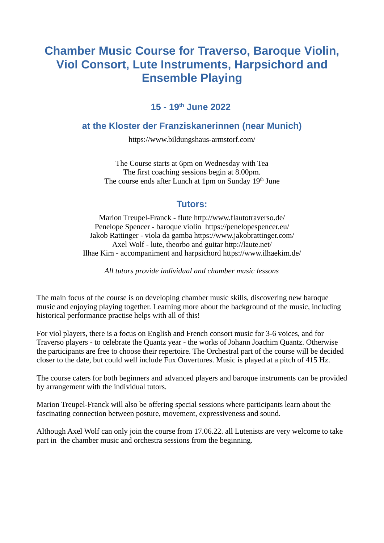# **Chamber Music Course for Traverso, Baroque Violin, Viol Consort, Lute Instruments, Harpsichord and Ensemble Playing**

# **15 - 19th June 2022**

### **at the Kloster der Franziskanerinnen (near Munich)**

https://www.bildungshaus-armstorf.com/

The Course starts at 6pm on Wednesday with Tea The first coaching sessions begin at 8.00pm. The course ends after Lunch at 1pm on Sunday 19<sup>th</sup> June

# **Tutors:**

Marion Treupel-Franck - flute http://www.flautotraverso.de/ Penelope Spencer - baroque violin https://penelopespencer.eu/ Jakob Rattinger - viola da gamba https://www.jakobrattinger.com/ Axel Wolf - lute, theorbo and guitar http://laute.net/ Ilhae Kim - accompaniment and harpsichord https://www.ilhaekim.de/

*All tutors provide individual and chamber music lessons*

The main focus of the course is on developing chamber music skills, discovering new baroque music and enjoying playing together. Learning more about the background of the music, including historical performance practise helps with all of this!

For viol players, there is a focus on English and French consort music for 3-6 voices, and for Traverso players - to celebrate the Quantz year - the works of Johann Joachim Quantz. Otherwise the participants are free to choose their repertoire. The Orchestral part of the course will be decided closer to the date, but could well include Fux Ouvertures. Music is played at a pitch of 415 Hz.

The course caters for both beginners and advanced players and baroque instruments can be provided by arrangement with the individual tutors.

Marion Treupel-Franck will also be offering special sessions where participants learn about the fascinating connection between posture, movement, expressiveness and sound.

Although Axel Wolf can only join the course from 17.06.22. all Lutenists are very welcome to take part in the chamber music and orchestra sessions from the beginning.